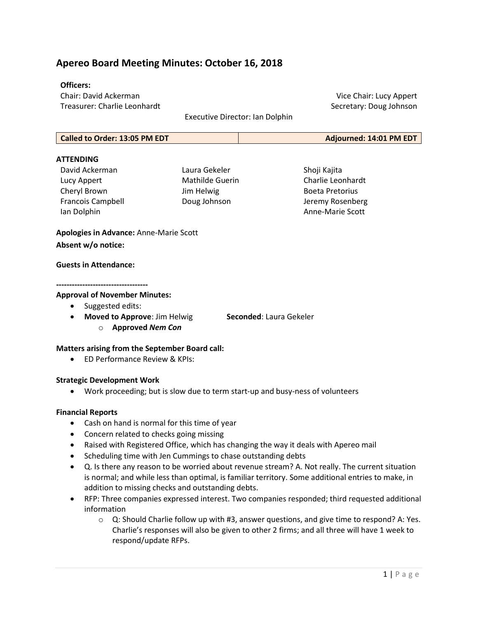# Apereo Board Meeting Minutes: October 16, 2018

### Officers:

Chair: David Ackerman Treasurer: Charlie Leonhardt

Executive Director: Ian Dolphin

Vice Chair: Lucy Appert Secretary: Doug Johnson

| Called to Order: 13:05 PM EDT | Adjourned: 14:01 PM EDT |
|-------------------------------|-------------------------|
|-------------------------------|-------------------------|

# **ATTFNDING**

- David Ackerman Lucy Appert Cheryl Brown Francois Campbell Ian Dolphin
- Laura Gekeler Mathilde Guerin Jim Helwig Doug Johnson

Shoji Kajita Charlie Leonhardt Boeta Pretorius Jeremy Rosenberg Anne-Marie Scott

Apologies in Advance: Anne-Marie Scott Absent w/o notice:

#### Guests in Attendance:

#### -----------------------------------

#### Approval of November Minutes:

- Suggested edits:
- Moved to Approve: Jim Helwig Seconded: Laura Gekeler
	-
	- o Approved Nem Con

# Matters arising from the September Board call:

ED Performance Review & KPIs:

# Strategic Development Work

Work proceeding; but is slow due to term start-up and busy-ness of volunteers

# Financial Reports

- Cash on hand is normal for this time of year
- Concern related to checks going missing
- Raised with Registered Office, which has changing the way it deals with Apereo mail
- Scheduling time with Jen Cummings to chase outstanding debts
- Q. Is there any reason to be worried about revenue stream? A. Not really. The current situation is normal; and while less than optimal, is familiar territory. Some additional entries to make, in addition to missing checks and outstanding debts.
- RFP: Three companies expressed interest. Two companies responded; third requested additional information
	- $\circ$  Q: Should Charlie follow up with #3, answer questions, and give time to respond? A: Yes. Charlie's responses will also be given to other 2 firms; and all three will have 1 week to respond/update RFPs.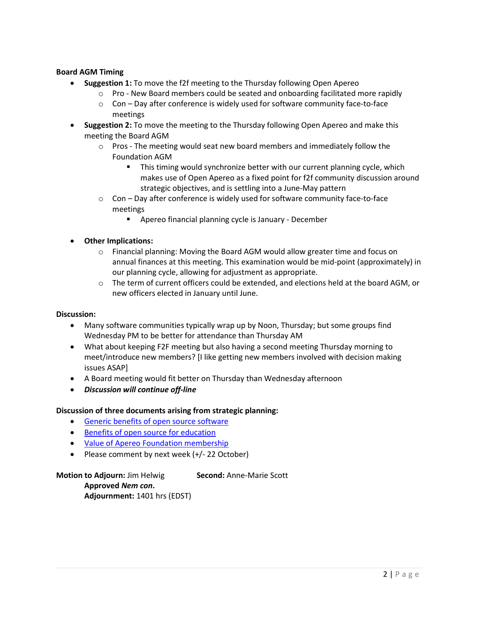# Board AGM Timing

- Suggestion 1: To move the f2f meeting to the Thursday following Open Apereo
	- $\circ$  Pro New Board members could be seated and onboarding facilitated more rapidly
	- $\circ$  Con Day after conference is widely used for software community face-to-face meetings
- Suggestion 2: To move the meeting to the Thursday following Open Apereo and make this meeting the Board AGM
	- $\circ$  Pros The meeting would seat new board members and immediately follow the Foundation AGM
		- This timing would synchronize better with our current planning cycle, which makes use of Open Apereo as a fixed point for f2f community discussion around strategic objectives, and is settling into a June-May pattern
	- $\circ$  Con Day after conference is widely used for software community face-to-face meetings
		- Apereo financial planning cycle is January December
- Other Implications:
	- $\circ$  Financial planning: Moving the Board AGM would allow greater time and focus on annual finances at this meeting. This examination would be mid-point (approximately) in our planning cycle, allowing for adjustment as appropriate.
	- o The term of current officers could be extended, and elections held at the board AGM, or new officers elected in January until June.

# Discussion:

- Many software communities typically wrap up by Noon, Thursday; but some groups find Wednesday PM to be better for attendance than Thursday AM
- What about keeping F2F meeting but also having a second meeting Thursday morning to meet/introduce new members? [I like getting new members involved with decision making issues ASAP]
- A Board meeting would fit better on Thursday than Wednesday afternoon
- Discussion will continue off-line

# Discussion of three documents arising from strategic planning:

- Generic benefits of open source software
- **Benefits of open source for education**
- Value of Apereo Foundation membership
- Please comment by next week (+/- 22 October)

Motion to Adjourn: Jim Helwig Second: Anne-Marie Scott Approved Nem con. Adjournment: 1401 hrs (EDST)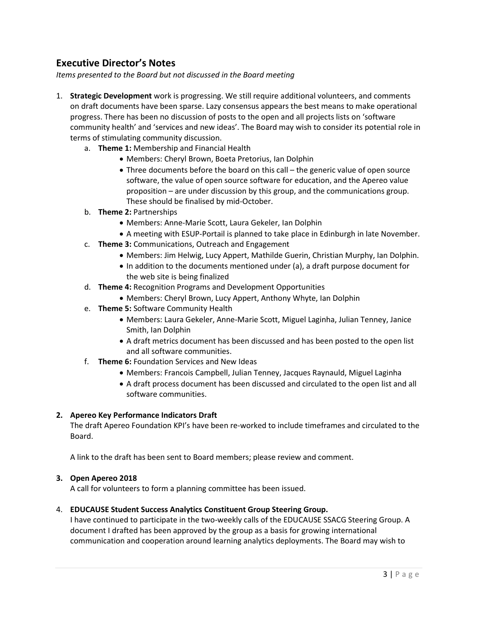# Executive Director's Notes

Items presented to the Board but not discussed in the Board meeting

- 1. Strategic Development work is progressing. We still require additional volunteers, and comments on draft documents have been sparse. Lazy consensus appears the best means to make operational progress. There has been no discussion of posts to the open and all projects lists on 'software community health' and 'services and new ideas'. The Board may wish to consider its potential role in terms of stimulating community discussion.
	- a. Theme 1: Membership and Financial Health
		- Members: Cheryl Brown, Boeta Pretorius, Ian Dolphin
		- Three documents before the board on this call the generic value of open source software, the value of open source software for education, and the Apereo value proposition – are under discussion by this group, and the communications group. These should be finalised by mid-October.
	- b. Theme 2: Partnerships
		- Members: Anne-Marie Scott, Laura Gekeler, Ian Dolphin
		- A meeting with ESUP-Portail is planned to take place in Edinburgh in late November.
	- c. Theme 3: Communications, Outreach and Engagement
		- Members: Jim Helwig, Lucy Appert, Mathilde Guerin, Christian Murphy, Ian Dolphin.
		- In addition to the documents mentioned under (a), a draft purpose document for the web site is being finalized
	- d. Theme 4: Recognition Programs and Development Opportunities
		- Members: Cheryl Brown, Lucy Appert, Anthony Whyte, Ian Dolphin
	- e. Theme 5: Software Community Health
		- Members: Laura Gekeler, Anne-Marie Scott, Miguel Laginha, Julian Tenney, Janice Smith, Ian Dolphin
		- A draft metrics document has been discussed and has been posted to the open list and all software communities.
	- f. Theme 6: Foundation Services and New Ideas
		- Members: Francois Campbell, Julian Tenney, Jacques Raynauld, Miguel Laginha
		- A draft process document has been discussed and circulated to the open list and all software communities.

# 2. Apereo Key Performance Indicators Draft

The draft Apereo Foundation KPI's have been re-worked to include timeframes and circulated to the Board.

A link to the draft has been sent to Board members; please review and comment.

# 3. Open Apereo 2018

A call for volunteers to form a planning committee has been issued.

# 4. EDUCAUSE Student Success Analytics Constituent Group Steering Group.

I have continued to participate in the two-weekly calls of the EDUCAUSE SSACG Steering Group. A document I drafted has been approved by the group as a basis for growing international communication and cooperation around learning analytics deployments. The Board may wish to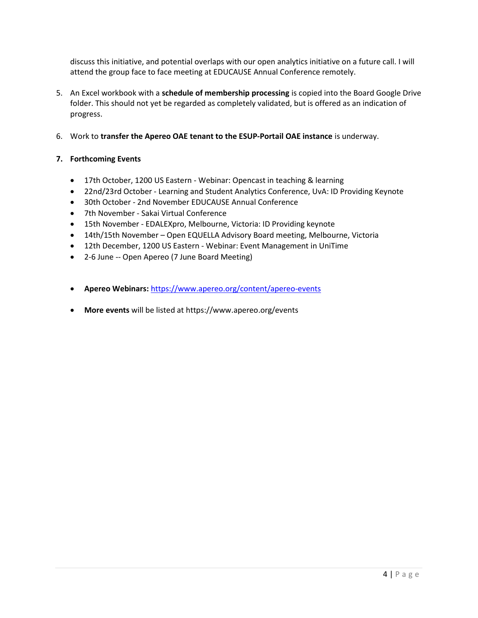discuss this initiative, and potential overlaps with our open analytics initiative on a future call. I will attend the group face to face meeting at EDUCAUSE Annual Conference remotely.

- 5. An Excel workbook with a schedule of membership processing is copied into the Board Google Drive folder. This should not yet be regarded as completely validated, but is offered as an indication of progress.
- 6. Work to transfer the Apereo OAE tenant to the ESUP-Portail OAE instance is underway.

# 7. Forthcoming Events

- 17th October, 1200 US Eastern Webinar: Opencast in teaching & learning
- 22nd/23rd October Learning and Student Analytics Conference, UvA: ID Providing Keynote
- 30th October 2nd November EDUCAUSE Annual Conference
- 7th November Sakai Virtual Conference
- 15th November EDALEXpro, Melbourne, Victoria: ID Providing keynote
- 14th/15th November Open EQUELLA Advisory Board meeting, Melbourne, Victoria
- 12th December, 1200 US Eastern Webinar: Event Management in UniTime
- 2-6 June -- Open Apereo (7 June Board Meeting)
- Apereo Webinars: https://www.apereo.org/content/apereo-events
- More events will be listed at https://www.apereo.org/events